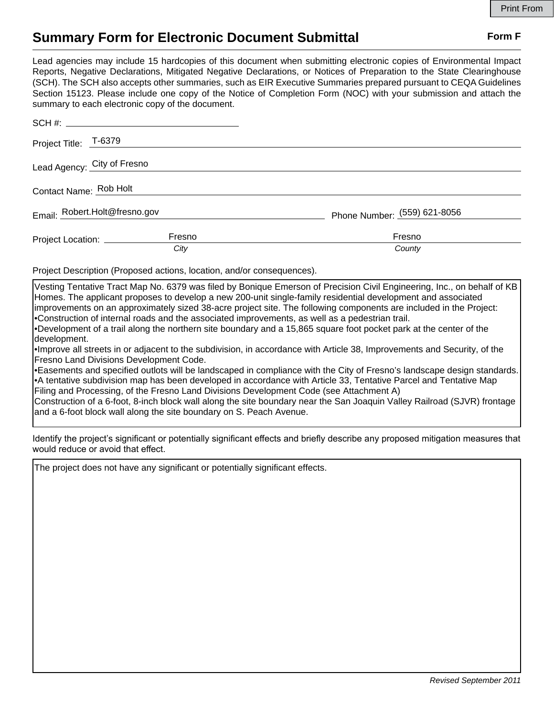## **Summary Form for Electronic Document Submittal Form F Form F**

Lead agencies may include 15 hardcopies of this document when submitting electronic copies of Environmental Impact Reports, Negative Declarations, Mitigated Negative Declarations, or Notices of Preparation to the State Clearinghouse (SCH). The SCH also accepts other summaries, such as EIR Executive Summaries prepared pursuant to CEQA Guidelines Section 15123. Please include one copy of the Notice of Completion Form (NOC) with your submission and attach the summary to each electronic copy of the document.

| Project Title: T-6379         |        |                              |
|-------------------------------|--------|------------------------------|
| Lead Agency: City of Fresno   |        |                              |
| Contact Name: Rob Holt        |        |                              |
| Email: Robert.Holt@fresno.gov |        | Phone Number: (559) 621-8056 |
| Project Location: __________  | Fresno | Fresno                       |
|                               | City   | County                       |

Project Description (Proposed actions, location, and/or consequences).

Vesting Tentative Tract Map No. 6379 was filed by Bonique Emerson of Precision Civil Engineering, Inc., on behalf of KB Homes. The applicant proposes to develop a new 200-unit single-family residential development and associated improvements on an approximately sized 38-acre project site. The following components are included in the Project: •Construction of internal roads and the associated improvements, as well as a pedestrian trail.

•Development of a trail along the northern site boundary and a 15,865 square foot pocket park at the center of the development.

•Improve all streets in or adjacent to the subdivision, in accordance with Article 38, Improvements and Security, of the Fresno Land Divisions Development Code.

•Easements and specified outlots will be landscaped in compliance with the City of Fresno's landscape design standards. •A tentative subdivision map has been developed in accordance with Article 33, Tentative Parcel and Tentative Map Filing and Processing, of the Fresno Land Divisions Development Code (see Attachment A)

Construction of a 6-foot, 8-inch block wall along the site boundary near the San Joaquin Valley Railroad (SJVR) frontage and a 6-foot block wall along the site boundary on S. Peach Avenue.

Identify the project's significant or potentially significant effects and briefly describe any proposed mitigation measures that would reduce or avoid that effect.

The project does not have any significant or potentially significant effects.